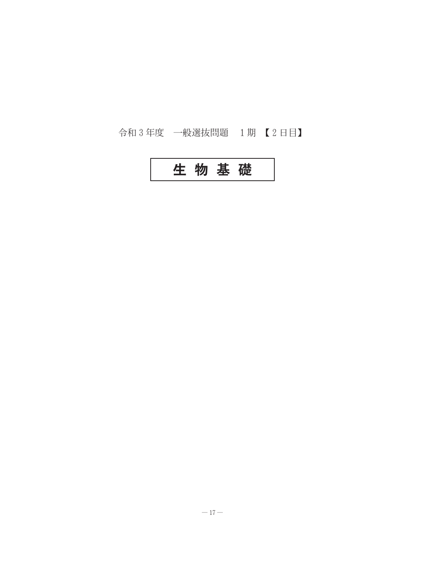# 令和3年度 一般選抜問題 1期【2日目】

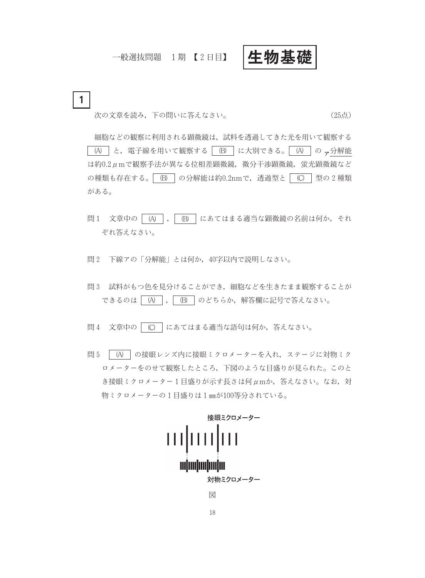# 一般選抜問題 1期【2日目】

生物基礎

 $\mathbf{1}$ 次の文章を読み、下の問いに答えなさい。

(25点)

細胞などの観察に利用される顕微鏡は、試料を透過してきた光を用いて観察する │ ⑷ │と,電子線を用いて観察する│ ⑸ │に大別できる。│ ⑷ │の <sub>マ</sub>分解能 は約0.2μmで観察手法が異なる位相差顕微鏡, 微分干渉顕微鏡, 蛍光顕微鏡など の種類も存在する。 (B) の分解能は約0.2nmで、透過型と (C) 型の2種類 がある。

- 問1 文章中の | (A) |, | (B) | にあてはまる適当な顕微鏡の名前は何か, それ ぞれ答えなさい。
- 問2 下線アの「分解能」とは何か、40字以内で説明しなさい。
- 問3 試料がもつ色を見分けることができ、細胞などを生きたまま観察することが できるのは | (A) |, | (B) | のどちらか、解答欄に記号で答えなさい。
- 問4 文章中の | C) | にあてはまる適当な語句は何か, 答えなさい。
- 問5 │ (A) │の接眼レンズ内に接眼ミクロメーターを入れ、ステージに対物ミク ロメーターをのせて観察したところ、下図のような目盛りが見られた。このと き接眼ミクロメーター1目盛りが示す長さは何μmか、答えなさい。なお、対 物ミクロメーターの1目盛りは1mmが100等分されている。

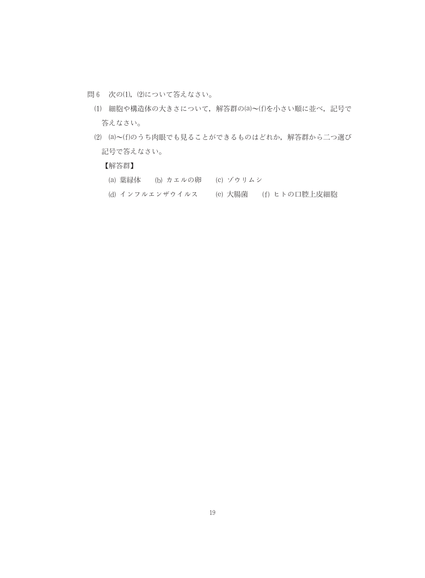- 問6 次の(1), (2)について答えなさい。
	- (1) 細胞や構造体の大きさについて、解答群の(a)~(f)を小さい順に並べ、記号で 答えなさい。
	- (2) (a)~(f)のうち肉眼でも見ることができるものはどれか、解答群から二つ選び 記号で答えなさい。

【解答群】

- (a) 葉緑体 (b) カエルの卵 (c) ゾウリムシ
- (d) インフルエンザウイルス (e) 大腸菌 (f) ヒトの口腔上皮細胞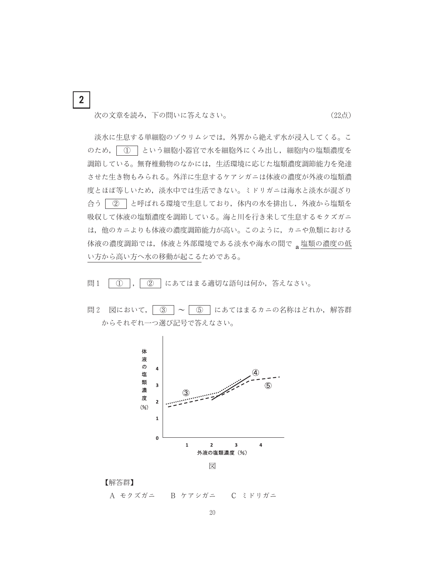次の文章を読み、下の問いに答えなさい。

 $\overline{2}$ 

淡水に生息する単細胞のゾウリムシでは、外界から絶えず水が浸入してくる。こ のため、 1 という細胞小器官で水を細胞外にくみ出し、細胞内の塩類濃度を 調節している。無脊椎動物のなかには、生活環境に応じた塩類濃度調節能力を発達 させた生き物もみられる。外洋に生息するケアシガニは体液の濃度が外液の塩類濃 度とほぼ等しいため、淡水中では生活できない。ミドリガニは海水と淡水が混ざり 合う | ② | と呼ばれる環境で生息しており、体内の水を排出し、外液から塩類を 吸収して体液の塩類濃度を調節している。海と川を行き来して生息するモクズガニ は、他のカニよりも体液の濃度調節能力が高い。このように、カニや魚類における 体液の濃度調節では、体液と外部環境である淡水や海水の間で、塩類の濃度の低 い方から高い方へ水の移動が起こるためである。

(22点)

- 問1  $\mathcal{L}$ ② | にあてはまる適切な語句は何か、答えなさい。
- |問2 図において, | 3 | ~ | 5 | にあてはまるカニの名称はどれか, 解答群 からそれぞれ一つ選び記号で答えなさい。



【解答群】

A モクズガニ B ケアシガニ C ミドリガニ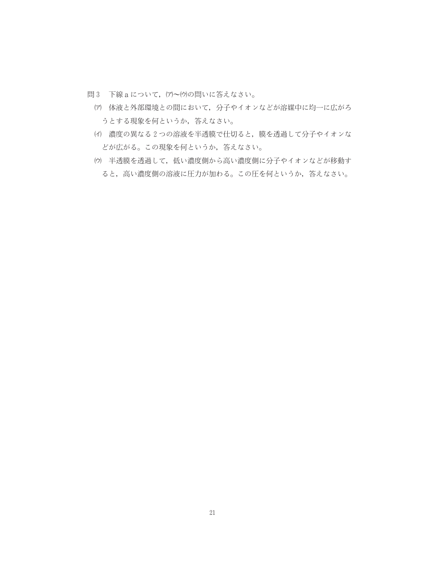- 問3 下線aについて、(ア)~(ウ)の問いに答えなさい。
	- (ア) 体液と外部環境との間において、分子やイオンなどが溶媒中に均一に広がろ うとする現象を何というか、答えなさい。
	- (イ) 濃度の異なる2つの溶液を半透膜で仕切ると、膜を透過して分子やイオンな どが広がる。この現象を何というか、答えなさい。
	- (ウ) 半透膜を透過して、低い濃度側から高い濃度側に分子やイオンなどが移動す ると、高い濃度側の溶液に圧力が加わる。この圧を何というか、答えなさい。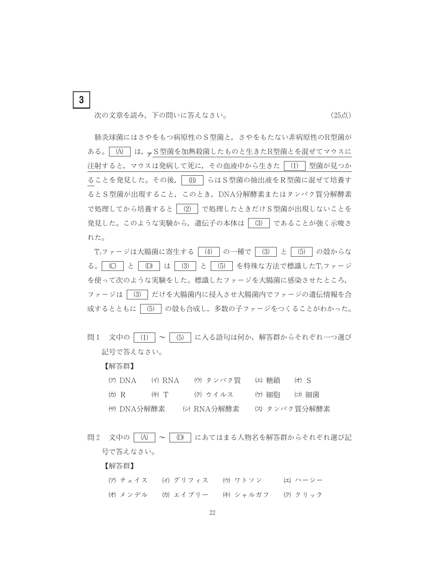次の文章を読み、下の問いに答えなさい。

 $\mathbf{3}$ 

(25点)

肺炎球菌にはさやをもつ病原性のS型菌と、さやをもたない非病原性のR型菌が ある。| (A) | は、、S型菌を加熱殺菌したものと生きたR型菌とを混ぜてマウスに 注射すると、マウスは発病して死に、その血液中から生きた | (1) | 型菌が見つか ることを発見した。その後, | (B) | らはS型菌の抽出液をR型菌に混ぜて培養す るとS型菌が出現すること、このとき、DNA分解酵素またはタンパク質分解酵素 で処理してから培養すると | (2) | で処理したときだけS型菌が出現しないことを 発見した。このような実験から、遺伝子の本体は | (3) | であることが強く示唆さ れた。

T2ファージは大腸菌に寄生する | (4) | の一種で | (3) | と | (5) | の殻からな る。 | (C) | と | (D) | は | (3) | と | (5) | を特殊な方法で標識したT2ファージ を使って次のような実験をした。標識したファージを大腸菌に感染させたところ, ファージは | (3) | だけを大腸菌内に侵入させ大腸菌内でファージの遺伝情報を合 成するとともに | (5) | の殻も合成し、多数の子ファージをつくることがわかった。

問1 文中の | (1) | ~ | (5) | に入る語句は何か, 解答群からそれぞれ一つ選び 記号で答えなさい。

#### 【解答群】

- (ア) DNA (イ) RNA (ウ) タンパク質 (エ) 糖鎖 (オ) S (力) R (キ) T (ク) ウイルス 仂 細胞 (コ)細菌 (サ) DNA分解酵素 (シ) RNA分解酵素 (ス) タンパク質分解酵素
- 問2 文中の | (A) | ~ | (D) | にあてはまる人物名を解答群からそれぞれ選び記 号で答えなさい。

## 【解答群】

(ア) チェイス (イ) グリフィス (ウ) ワトソン (エ)ハーシー (オ) メンデル (カ) エイブリー (キ) シャルガフ (ク) クリック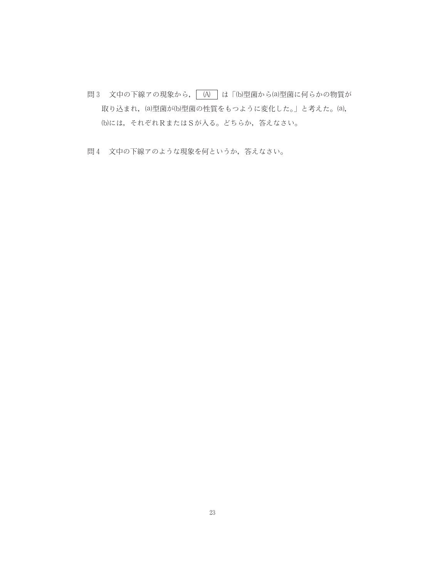- 問3 文中の下線アの現象から, (A) は「(b)型菌から(a)型菌に何らかの物質が 取り込まれ, (a)型菌が(b)型菌の性質をもつように変化した。」と考えた。(a), (b)には、それぞれRまたはSが入る。どちらか、答えなさい。
- 問4 文中の下線アのような現象を何というか、答えなさい。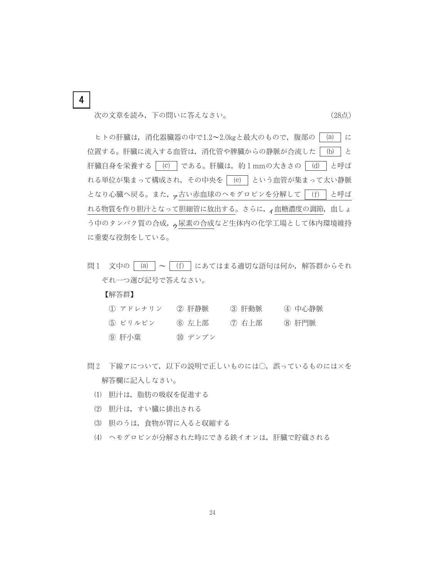次の文章を読み、下の問いに答えなさい。

(28点)

ヒトの肝臓は、消化器臓器の中で1.2~2.0kgと最大のもので、腹部の (a) に 位置する。肝臓に流入する血管は、消化管や脾臓からの静脈が合流した | (b) | と 肝臓自身を栄養する | (c) | である。肝臓は、約1mmの大きさの | (d) | と呼ば れる単位が集まって構成され、その中央を (e) という血管が集まって太い静脈 となり心臓へ戻る。また、<sub>ア</sub>古い赤血球のヘモグロビンを分解して [f] と呼ば れる物質を作り胆汁となって胆細管に放出する。さらに、ィ血糖濃度の調節, 血しょ う中のタンパク質の合成、、尿素の合成など生体内の化学工場として体内環境維持 に重要な役割をしている。

問1 文中の  $(a)$  ~  $(f)$  にあてはまる適切な語句は何か、解答群からそれ ぞれ一つ選び記号で答えなさい。

## 【解答群】

 $\overline{\mathbf{4}}$ 

| ① アドレナリン  | ② 肝静脈  | ③ 肝動脈   | 4 中心静脈 |
|-----------|--------|---------|--------|
| (5) ビリルビン | ⑹ 左上部  | (7) 右上部 | 8 肝門脈  |
| ⑨ 肝小葉     | ⑾ デンプン |         |        |

- 問2 下線アについて、以下の説明で正しいものには〇、誤っているものには×を 解答欄に記入しなさい。
	- (1) 胆汁は、脂肪の吸収を促進する
	- (2) 胆汁は、すい臓に排出される
	- (3) 胆のうは、食物が胃に入ると収縮する
	- (4) ヘモグロビンが分解された時にできる鉄イオンは、肝臓で貯蔵される